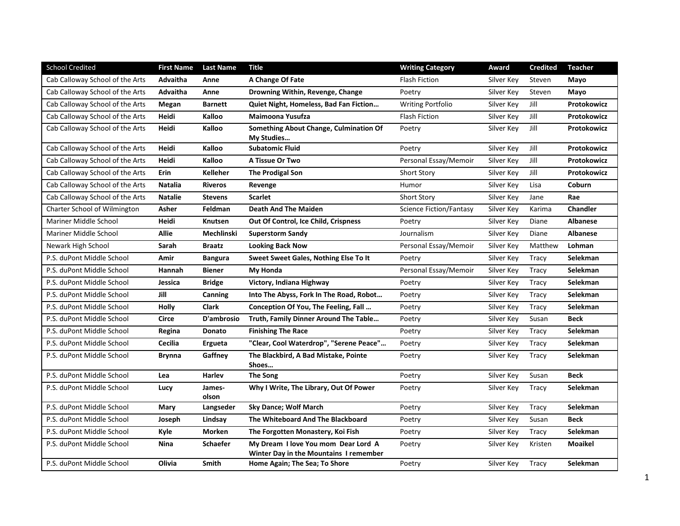| <b>School Credited</b>          | <b>First Name</b> | <b>Last Name</b> | <b>Title</b>                                  | <b>Writing Category</b>        | Award      | <b>Credited</b> | <b>Teacher</b>     |
|---------------------------------|-------------------|------------------|-----------------------------------------------|--------------------------------|------------|-----------------|--------------------|
| Cab Calloway School of the Arts | Advaitha          | Anne             | A Change Of Fate                              | Flash Fiction                  | Silver Key | Steven          | Mayo               |
| Cab Calloway School of the Arts | Advaitha          | Anne             | Drowning Within, Revenge, Change              | Poetry                         | Silver Key | Steven          | Mayo               |
| Cab Calloway School of the Arts | Megan             | <b>Barnett</b>   | Quiet Night, Homeless, Bad Fan Fiction        | <b>Writing Portfolio</b>       | Silver Key | Jill            | <b>Protokowicz</b> |
| Cab Calloway School of the Arts | Heidi             | Kalloo           | Maimoona Yusufza                              | <b>Flash Fiction</b>           | Silver Key | Jill            | Protokowicz        |
| Cab Calloway School of the Arts | Heidi             | Kalloo           | Something About Change, Culmination Of        | Poetry                         | Silver Key | Jill            | Protokowicz        |
|                                 |                   | Kalloo           | My Studies                                    |                                |            |                 |                    |
| Cab Calloway School of the Arts | Heidi             |                  | <b>Subatomic Fluid</b>                        | Poetry                         | Silver Key | Jill            | Protokowicz        |
| Cab Calloway School of the Arts | Heidi             | Kalloo           | A Tissue Or Two                               | Personal Essay/Memoir          | Silver Key | Jill            | Protokowicz        |
| Cab Calloway School of the Arts | Erin              | <b>Kelleher</b>  | <b>The Prodigal Son</b>                       | Short Story                    | Silver Key | Jill            | <b>Protokowicz</b> |
| Cab Calloway School of the Arts | <b>Natalia</b>    | <b>Riveros</b>   | Revenge                                       | Humor                          | Silver Key | Lisa            | Coburn             |
| Cab Calloway School of the Arts | <b>Natalie</b>    | <b>Stevens</b>   | <b>Scarlet</b>                                | <b>Short Story</b>             | Silver Key | Jane            | Rae                |
| Charter School of Wilmington    | Asher             | Feldman          | <b>Death And The Maiden</b>                   | <b>Science Fiction/Fantasy</b> | Silver Key | Karima          | <b>Chandler</b>    |
| Mariner Middle School           | Heidi             | Knutsen          | <b>Out Of Control, Ice Child, Crispness</b>   | Poetry                         | Silver Key | Diane           | <b>Albanese</b>    |
| <b>Mariner Middle School</b>    | <b>Allie</b>      | Mechlinski       | <b>Superstorm Sandy</b>                       | Journalism                     | Silver Key | Diane           | <b>Albanese</b>    |
| Newark High School              | Sarah             | <b>Braatz</b>    | <b>Looking Back Now</b>                       | Personal Essay/Memoir          | Silver Key | Matthew         | Lohman             |
| P.S. duPont Middle School       | Amir              | <b>Bangura</b>   | Sweet Sweet Gales, Nothing Else To It         | Poetry                         | Silver Key | Tracy           | Selekman           |
| P.S. duPont Middle School       | Hannah            | <b>Biener</b>    | My Honda                                      | Personal Essay/Memoir          | Silver Key | Tracy           | Selekman           |
| P.S. duPont Middle School       | Jessica           | <b>Bridge</b>    | Victory, Indiana Highway                      | Poetry                         | Silver Key | Tracy           | Selekman           |
| P.S. duPont Middle School       | Jill              | Canning          | Into The Abyss, Fork In The Road, Robot       | Poetry                         | Silver Key | Tracy           | <b>Selekman</b>    |
| P.S. duPont Middle School       | <b>Holly</b>      | <b>Clark</b>     | Conception Of You, The Feeling, Fall          | Poetry                         | Silver Key | Tracy           | Selekman           |
| P.S. duPont Middle School       | Circe             | D'ambrosio       | Truth, Family Dinner Around The Table         | Poetry                         | Silver Key | Susan           | <b>Beck</b>        |
| P.S. duPont Middle School       | Regina            | <b>Donato</b>    | <b>Finishing The Race</b>                     | Poetry                         | Silver Key | Tracy           | Selekman           |
| P.S. duPont Middle School       | Cecilia           | Ergueta          | "Clear, Cool Waterdrop", "Serene Peace"       | Poetry                         | Silver Key | Tracy           | Selekman           |
| P.S. duPont Middle School       | <b>Brynna</b>     | Gaffney          | The Blackbird, A Bad Mistake, Pointe<br>Shoes | Poetry                         | Silver Key | Tracy           | Selekman           |
| P.S. duPont Middle School       | Lea               | Harlev           | <b>The Song</b>                               | Poetry                         | Silver Key | Susan           | <b>Beck</b>        |
| P.S. duPont Middle School       | Lucy              | James-<br>olson  | Why I Write, The Library, Out Of Power        | Poetry                         | Silver Key | Tracy           | Selekman           |
| P.S. duPont Middle School       | Mary              | Langseder        | <b>Sky Dance; Wolf March</b>                  | Poetry                         | Silver Key | Tracy           | Selekman           |
| P.S. duPont Middle School       | Joseph            | Lindsay          | The Whiteboard And The Blackboard             | Poetry                         | Silver Key | Susan           | <b>Beck</b>        |
| P.S. duPont Middle School       | Kyle              | <b>Morken</b>    | The Forgotten Monastery, Koi Fish             | Poetry                         | Silver Key | Tracy           | Selekman           |
| P.S. duPont Middle School       | Nina              | <b>Schaefer</b>  | My Dream I love You mom Dear Lord A           | Poetry                         | Silver Key | Kristen         | <b>Moaikel</b>     |
| P.S. duPont Middle School       | Olivia            | <b>Smith</b>     | Winter Day in the Mountains I remember        |                                |            |                 | Selekman           |
|                                 |                   |                  | Home Again; The Sea; To Shore                 | Poetry                         | Silver Key | Tracy           |                    |